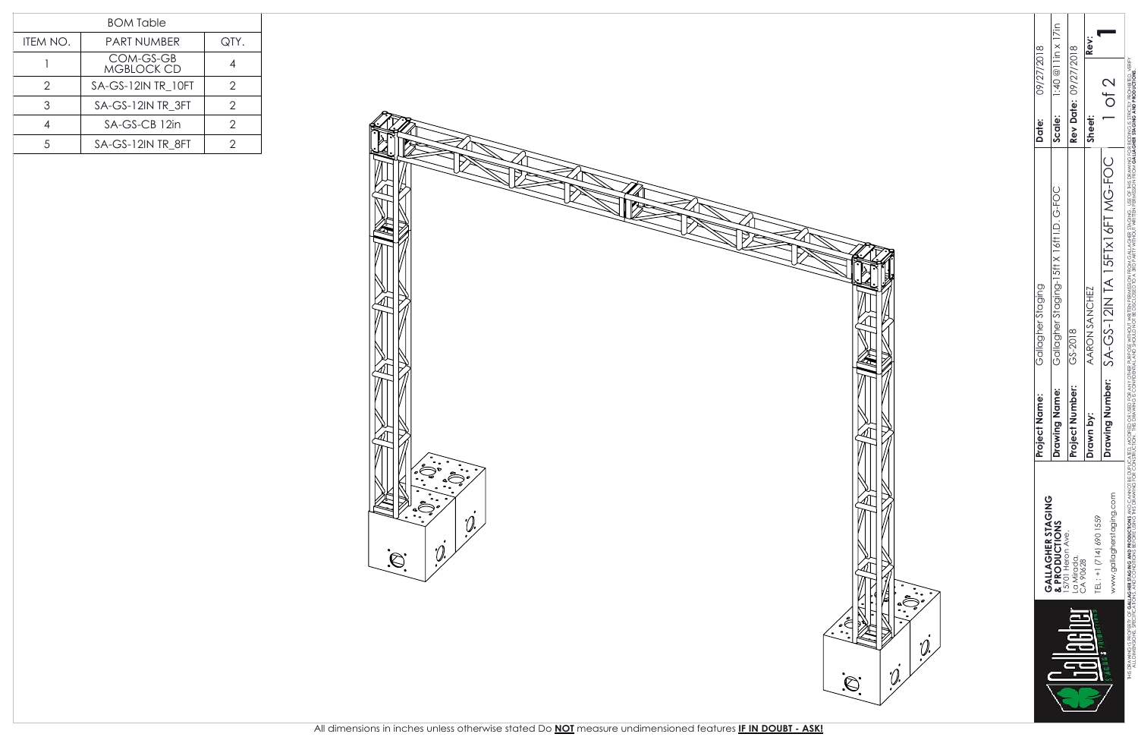|          | <b>BOM Table</b>               |      |
|----------|--------------------------------|------|
| ITEM NO. | <b>PART NUMBER</b>             | QTY. |
|          | COM-GS-GB<br><b>MGBLOCK CD</b> |      |
| 2        | SA-GS-12IN TR 10FT             | 2    |
| 3        | SA-GS-12IN TR 3FT              | 2    |
|          | SA-GS-CB 12in                  | 2    |
|          | SA-GS-12IN TR 8FT              |      |



| Rev Date: 09/27/2018<br>$GS-2018$<br>Project Number: |                                                                                                                                                                                                                                                   | b <sub>9</sub> | ھ<br>ج€•<br>- |
|------------------------------------------------------|---------------------------------------------------------------------------------------------------------------------------------------------------------------------------------------------------------------------------------------------------|----------------|---------------|
| Rev:<br>Sheet:<br>AARON SANCHEZ<br>Drawn by          | $1:40@$ l lin x 17in<br>09/27/2018<br>Scale:<br>Date:<br>Gallagher Staging-15tt X 16tt LD. G-FOC<br>Gallagher Staging<br>Name:<br>ame:<br>Project <sub>N</sub><br>Drawing<br>GALLAGHER STAGING<br>& PRODUCTIONS<br>15701 Heron Ave.<br>La Mirada, |                |               |
|                                                      |                                                                                                                                                                                                                                                   |                |               |
|                                                      |                                                                                                                                                                                                                                                   |                |               |
|                                                      |                                                                                                                                                                                                                                                   |                |               |
|                                                      |                                                                                                                                                                                                                                                   |                |               |
|                                                      |                                                                                                                                                                                                                                                   |                |               |
|                                                      |                                                                                                                                                                                                                                                   |                |               |

THIS DRAWING IS **PRALLAGHRESTAGING AND PRODUCTIONS A**N OTHED, MODIFIED, MODIFIED, PROSE POR DRECKER PORTS ANY OTHED, MODIFIED, MODIFIED, AND CANNO BE STAGING AND PRONOT VERFORE PORTS VERFORE PORTS AND DRECKER PORTS AND DRE ALL DIMENSIONS SPECIELE USING AND CONSIRULTIONS FOR CONSIRULATIONS FOR A SPECIESCLOSED TO A SRD PART DRAWING FOR SPECIES THIS DRAWING FOR CONSIRULTIONS FOR SPECIES CONSIRULTIONS FOR CONSIRULATIONS FOR CONSIRULATIONS FOR CO RICTLY PROD BIDDING -<br>From Gallagher Staging, use of this drawing for<br>3. Srd Party without written permission from **Gallag** Drawing alogherstaging.com<br>**A SA-GS-TAME AND STATES AND CANNOTE EDIPLICATED MODIFED OR USED FOR ANY OTHER PURPOSE WITHOUT WRITEN FERMISSON**<br>AS AND CONDITIONS BEFORE USING THE DOPLOTED AND DREAMING IS CONFIDENTIAL AND SHOUL